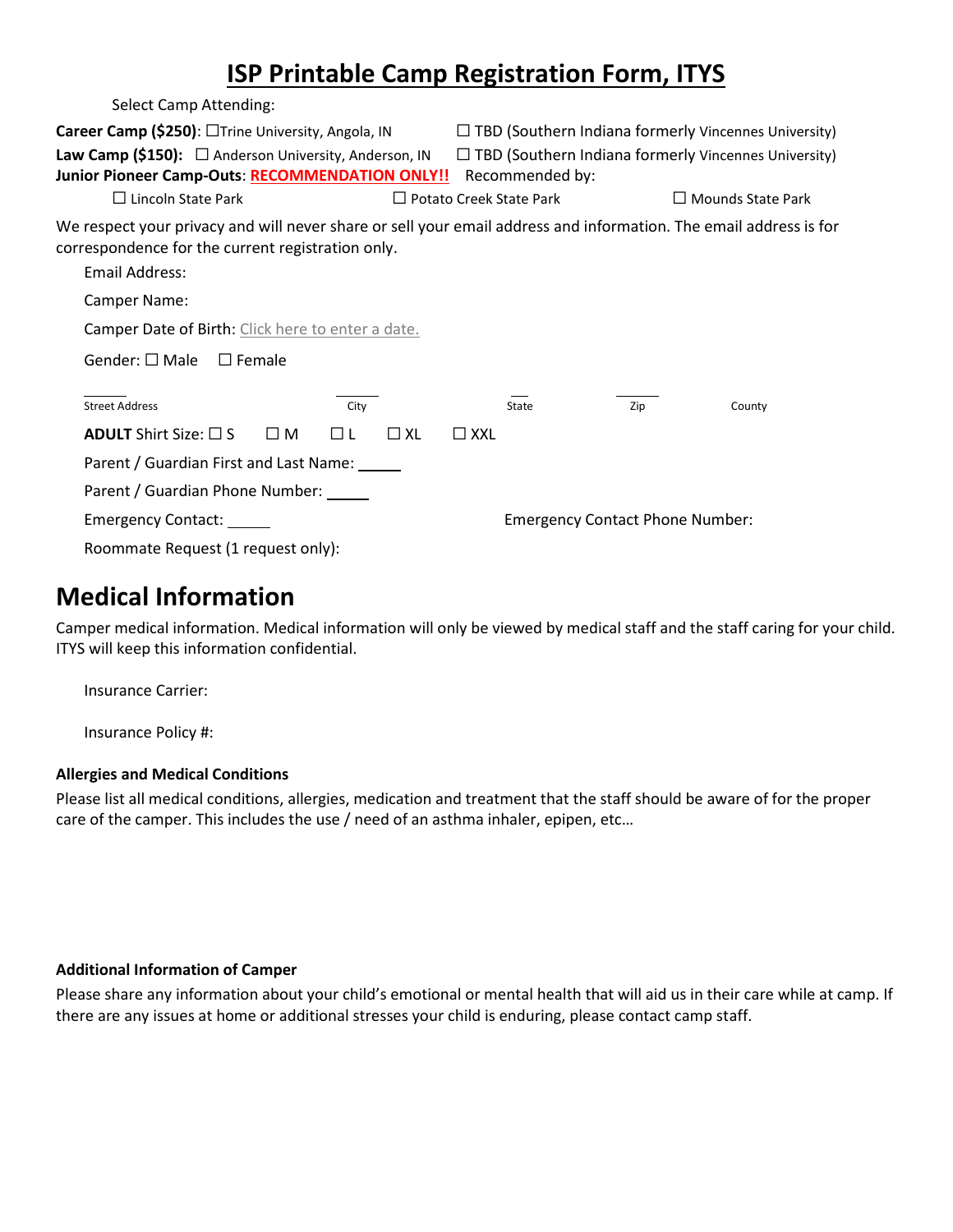# **ISP Printable Camp Registration Form, ITYS**

| Select Camp Attending:                                                                                                                                                                   |                 |                                                                                |     |                          |  |
|------------------------------------------------------------------------------------------------------------------------------------------------------------------------------------------|-----------------|--------------------------------------------------------------------------------|-----|--------------------------|--|
| Career Camp (\$250): □Trine University, Angola, IN                                                                                                                                       |                 | $\Box$ TBD (Southern Indiana formerly Vincennes University)                    |     |                          |  |
| <b>Law Camp (\$150):</b> $\Box$ Anderson University, Anderson, IN<br>Junior Pioneer Camp-Outs: RECOMMENDATION ONLY!!                                                                     |                 | $\Box$ TBD (Southern Indiana formerly Vincennes University)<br>Recommended by: |     |                          |  |
| $\Box$ Lincoln State Park                                                                                                                                                                |                 | $\Box$ Potato Creek State Park                                                 |     | $\Box$ Mounds State Park |  |
| We respect your privacy and will never share or sell your email address and information. The email address is for<br>correspondence for the current registration only.<br>Email Address: |                 |                                                                                |     |                          |  |
| Camper Name:                                                                                                                                                                             |                 |                                                                                |     |                          |  |
| Camper Date of Birth: Click here to enter a date.                                                                                                                                        |                 |                                                                                |     |                          |  |
| Gender: $\square$ Male<br>$\Box$ Female                                                                                                                                                  |                 |                                                                                |     |                          |  |
| <b>Street Address</b>                                                                                                                                                                    | City            | State                                                                          | Zip | County                   |  |
| <b>ADULT</b> Shirt Size: $\square$ S<br>$\square$ M                                                                                                                                      | $\Box$ XL<br>ПL | $\Box$ XXL                                                                     |     |                          |  |
| Parent / Guardian First and Last Name: _____                                                                                                                                             |                 |                                                                                |     |                          |  |
| Parent / Guardian Phone Number:                                                                                                                                                          |                 |                                                                                |     |                          |  |
| Emergency Contact: ______                                                                                                                                                                |                 | <b>Emergency Contact Phone Number:</b>                                         |     |                          |  |
| Roommate Request (1 request only):                                                                                                                                                       |                 |                                                                                |     |                          |  |

## **Medical Information**

Camper medical information. Medical information will only be viewed by medical staff and the staff caring for your child. ITYS will keep this information confidential.

Insurance Carrier:

Insurance Policy #:

#### **Allergies and Medical Conditions**

Please list all medical conditions, allergies, medication and treatment that the staff should be aware of for the proper care of the camper. This includes the use / need of an asthma inhaler, epipen, etc…

#### **Additional Information of Camper**

Please share any information about your child's emotional or mental health that will aid us in their care while at camp. If there are any issues at home or additional stresses your child is enduring, please contact camp staff.